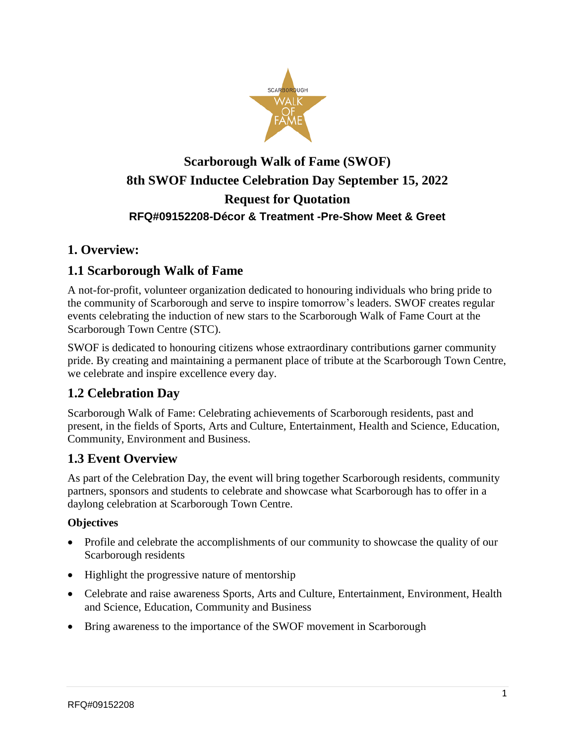

# **Scarborough Walk of Fame (SWOF) 8th SWOF Inductee Celebration Day September 15, 2022 Request for Quotation RFQ#09152208-Décor & Treatment -Pre-Show Meet & Greet**

### **1. Overview:**

## **1.1 Scarborough Walk of Fame**

A not-for-profit, volunteer organization dedicated to honouring individuals who bring pride to the community of Scarborough and serve to inspire tomorrow's leaders. SWOF creates regular events celebrating the induction of new stars to the Scarborough Walk of Fame Court at the Scarborough Town Centre (STC).

SWOF is dedicated to honouring citizens whose extraordinary contributions garner community pride. By creating and maintaining a permanent place of tribute at the Scarborough Town Centre, we celebrate and inspire excellence every day.

## **1.2 Celebration Day**

Scarborough Walk of Fame: Celebrating achievements of Scarborough residents, past and present, in the fields of Sports, Arts and Culture, Entertainment, Health and Science, Education, Community, Environment and Business.

## **1.3 Event Overview**

As part of the Celebration Day, the event will bring together Scarborough residents, community partners, sponsors and students to celebrate and showcase what Scarborough has to offer in a daylong celebration at Scarborough Town Centre.

#### **Objectives**

- Profile and celebrate the accomplishments of our community to showcase the quality of our Scarborough residents
- Highlight the progressive nature of mentorship
- Celebrate and raise awareness Sports, Arts and Culture, Entertainment, Environment, Health and Science, Education, Community and Business
- Bring awareness to the importance of the SWOF movement in Scarborough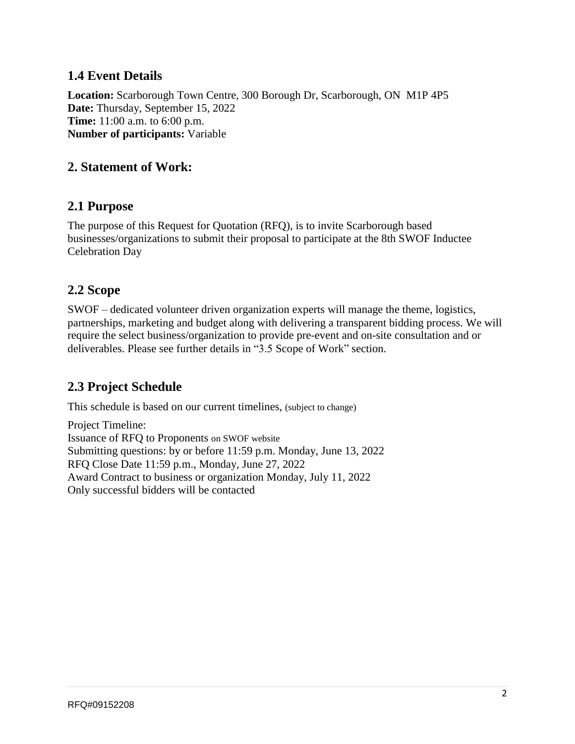### **1.4 Event Details**

**Location:** Scarborough Town Centre, 300 Borough Dr, Scarborough, ON M1P 4P5 **Date:** Thursday, September 15, 2022 **Time:** 11:00 a.m. to 6:00 p.m. **Number of participants:** Variable

### **2. Statement of Work:**

#### **2.1 Purpose**

The purpose of this Request for Quotation (RFQ), is to invite Scarborough based businesses/organizations to submit their proposal to participate at the 8th SWOF Inductee Celebration Day

#### **2.2 Scope**

SWOF – dedicated volunteer driven organization experts will manage the theme, logistics, partnerships, marketing and budget along with delivering a transparent bidding process. We will require the select business/organization to provide pre-event and on-site consultation and or deliverables. Please see further details in "3.5 Scope of Work" section.

### **2.3 Project Schedule**

This schedule is based on our current timelines, (subject to change)

Project Timeline: Issuance of RFQ to Proponents on SWOF website Submitting questions: by or before 11:59 p.m. Monday, June 13, 2022 RFQ Close Date 11:59 p.m., Monday, June 27, 2022 Award Contract to business or organization Monday, July 11, 2022 Only successful bidders will be contacted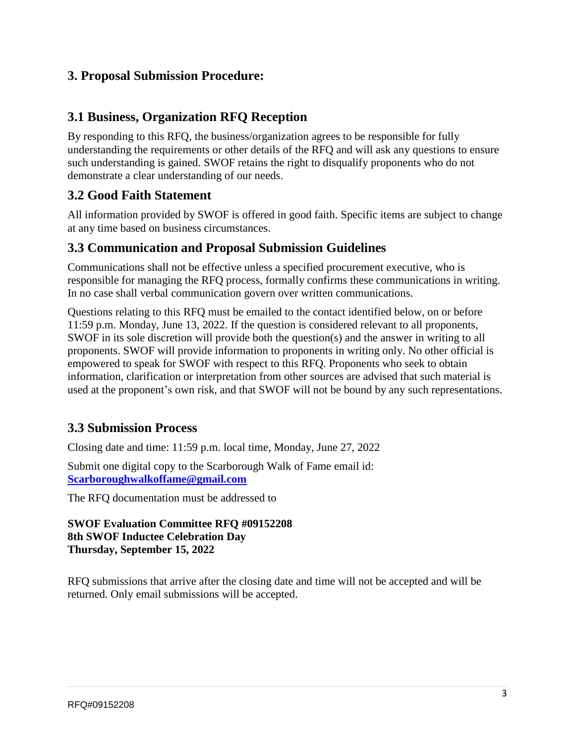### **3. Proposal Submission Procedure:**

#### **3.1 Business, Organization RFQ Reception**

By responding to this RFQ, the business/organization agrees to be responsible for fully understanding the requirements or other details of the RFQ and will ask any questions to ensure such understanding is gained. SWOF retains the right to disqualify proponents who do not demonstrate a clear understanding of our needs.

### **3.2 Good Faith Statement**

All information provided by SWOF is offered in good faith. Specific items are subject to change at any time based on business circumstances.

#### **3.3 Communication and Proposal Submission Guidelines**

Communications shall not be effective unless a specified procurement executive, who is responsible for managing the RFQ process, formally confirms these communications in writing. In no case shall verbal communication govern over written communications.

Questions relating to this RFQ must be emailed to the contact identified below, on or before 11:59 p.m. Monday, June 13, 2022. If the question is considered relevant to all proponents, SWOF in its sole discretion will provide both the question(s) and the answer in writing to all proponents. SWOF will provide information to proponents in writing only. No other official is empowered to speak for SWOF with respect to this RFQ. Proponents who seek to obtain information, clarification or interpretation from other sources are advised that such material is used at the proponent's own risk, and that SWOF will not be bound by any such representations.

### **3.3 Submission Process**

Closing date and time: 11:59 p.m. local time, Monday, June 27, 2022

Submit one digital copy to the Scarborough Walk of Fame email id: **[Scarboroughwalkoffame@gmail.com](mailto:Scarboroughwalkoffame@gmail.com)**

The RFQ documentation must be addressed to

#### **SWOF Evaluation Committee RFQ #09152208 8th SWOF Inductee Celebration Day Thursday, September 15, 2022**

RFQ submissions that arrive after the closing date and time will not be accepted and will be returned. Only email submissions will be accepted.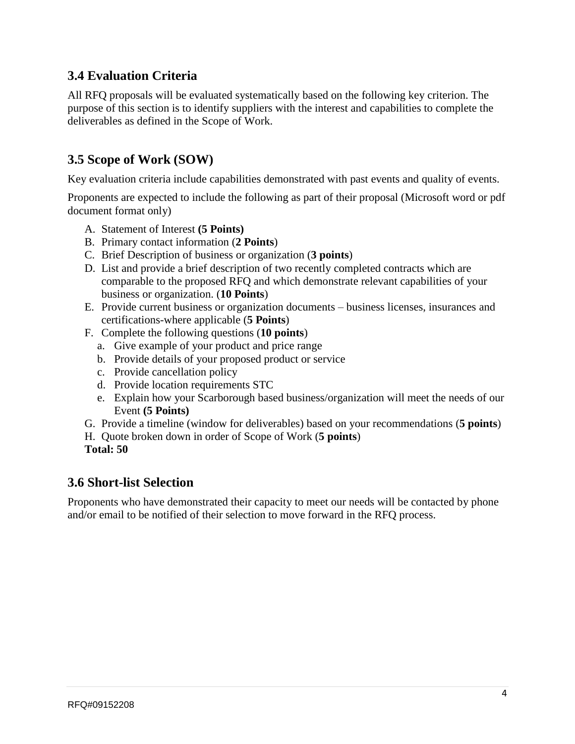## **3.4 Evaluation Criteria**

All RFQ proposals will be evaluated systematically based on the following key criterion. The purpose of this section is to identify suppliers with the interest and capabilities to complete the deliverables as defined in the Scope of Work.

## **3.5 Scope of Work (SOW)**

Key evaluation criteria include capabilities demonstrated with past events and quality of events.

Proponents are expected to include the following as part of their proposal (Microsoft word or pdf document format only)

- A. Statement of Interest **(5 Points)**
- B. Primary contact information (**2 Points**)
- C. Brief Description of business or organization (**3 points**)
- D. List and provide a brief description of two recently completed contracts which are comparable to the proposed RFQ and which demonstrate relevant capabilities of your business or organization. (**10 Points**)
- E. Provide current business or organization documents business licenses, insurances and certifications-where applicable (**5 Points**)
- F. Complete the following questions (**10 points**)
	- a. Give example of your product and price range
	- b. Provide details of your proposed product or service
	- c. Provide cancellation policy
	- d. Provide location requirements STC
	- e. Explain how your Scarborough based business/organization will meet the needs of our Event **(5 Points)**
- G. Provide a timeline (window for deliverables) based on your recommendations (**5 points**)
- H. Quote broken down in order of Scope of Work (**5 points**)
- **Total: 50**

### **3.6 Short-list Selection**

Proponents who have demonstrated their capacity to meet our needs will be contacted by phone and/or email to be notified of their selection to move forward in the RFQ process.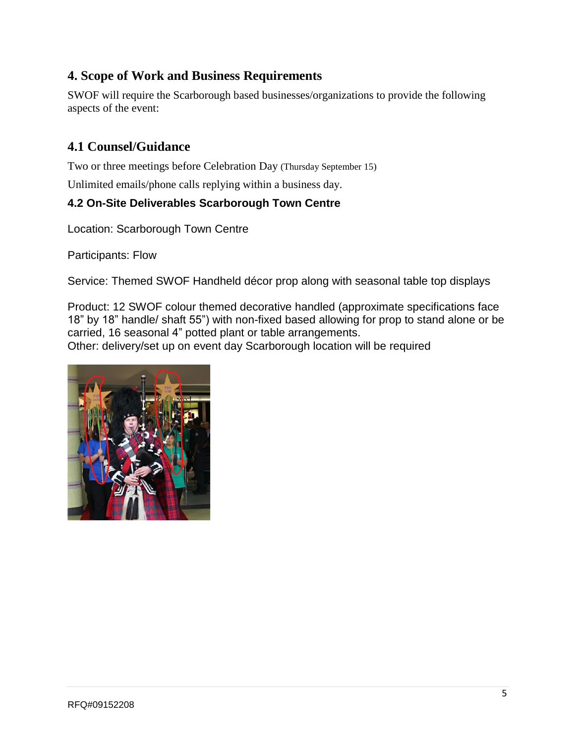## **4. Scope of Work and Business Requirements**

SWOF will require the Scarborough based businesses/organizations to provide the following aspects of the event:

### **4.1 Counsel/Guidance**

Two or three meetings before Celebration Day (Thursday September 15)

Unlimited emails/phone calls replying within a business day.

#### **4.2 On-Site Deliverables Scarborough Town Centre**

Location: Scarborough Town Centre

Participants: Flow

Service: Themed SWOF Handheld décor prop along with seasonal table top displays

Product: 12 SWOF colour themed decorative handled (approximate specifications face 18" by 18" handle/ shaft 55") with non-fixed based allowing for prop to stand alone or be carried, 16 seasonal 4" potted plant or table arrangements. Other: delivery/set up on event day Scarborough location will be required